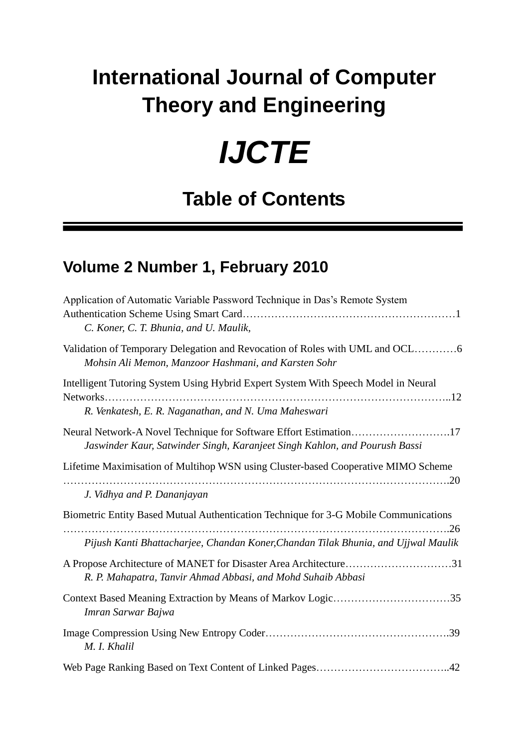## **International Journal of Computer Theory and Engineering**

## *IJCTE*

## **Table of Contents**

## **Volume 2 Number 1, February 2010**

| Application of Automatic Variable Password Technique in Das's Remote System<br>C. Koner, C. T. Bhunia, and U. Maulik,                           |
|-------------------------------------------------------------------------------------------------------------------------------------------------|
| Mohsin Ali Memon, Manzoor Hashmani, and Karsten Sohr                                                                                            |
| Intelligent Tutoring System Using Hybrid Expert System With Speech Model in Neural<br>Networks                                                  |
| R. Venkatesh, E. R. Naganathan, and N. Uma Maheswari                                                                                            |
| Neural Network-A Novel Technique for Software Effort Estimation17<br>Jaswinder Kaur, Satwinder Singh, Karanjeet Singh Kahlon, and Pourush Bassi |
| Lifetime Maximisation of Multihop WSN using Cluster-based Cooperative MIMO Scheme                                                               |
| J. Vidhya and P. Dananjayan                                                                                                                     |
| Biometric Entity Based Mutual Authentication Technique for 3-G Mobile Communications                                                            |
| Pijush Kanti Bhattacharjee, Chandan Koner, Chandan Tilak Bhunia, and Ujjwal Maulik                                                              |
| A Propose Architecture of MANET for Disaster Area Architecture31<br>R. P. Mahapatra, Tanvir Ahmad Abbasi, and Mohd Suhaib Abbasi                |
| Context Based Meaning Extraction by Means of Markov Logic35<br>Imran Sarwar Bajwa                                                               |
| M. I. Khalil                                                                                                                                    |
|                                                                                                                                                 |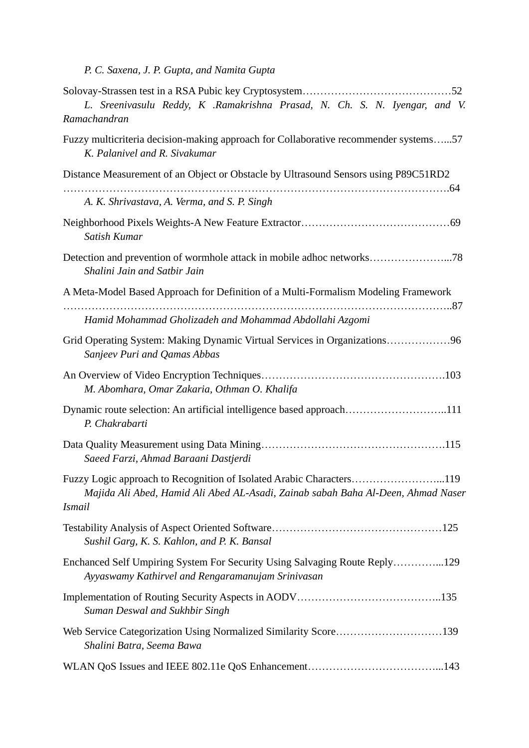*P. C. Saxena, J. P. Gupta, and Namita Gupta*

| L. Sreenivasulu Reddy, K .Ramakrishna Prasad, N. Ch. S. N. Iyengar, and V.<br>Ramachandran                                                                                |
|---------------------------------------------------------------------------------------------------------------------------------------------------------------------------|
| Fuzzy multicriteria decision-making approach for Collaborative recommender systems57<br>K. Palanivel and R. Sivakumar                                                     |
| Distance Measurement of an Object or Obstacle by Ultrasound Sensors using P89C51RD2                                                                                       |
| A. K. Shrivastava, A. Verma, and S. P. Singh                                                                                                                              |
| Satish Kumar                                                                                                                                                              |
| Shalini Jain and Satbir Jain                                                                                                                                              |
| A Meta-Model Based Approach for Definition of a Multi-Formalism Modeling Framework                                                                                        |
| Hamid Mohammad Gholizadeh and Mohammad Abdollahi Azgomi                                                                                                                   |
| Grid Operating System: Making Dynamic Virtual Services in Organizations96<br>Sanjeev Puri and Qamas Abbas                                                                 |
| M. Abomhara, Omar Zakaria, Othman O. Khalifa                                                                                                                              |
| Dynamic route selection: An artificial intelligence based approach111<br>P. Chakrabarti                                                                                   |
| Saeed Farzi, Ahmad Baraani Dastjerdi                                                                                                                                      |
| Fuzzy Logic approach to Recognition of Isolated Arabic Characters119<br>Majida Ali Abed, Hamid Ali Abed AL-Asadi, Zainab sabah Baha Al-Deen, Ahmad Naser<br><i>Ismail</i> |
| Sushil Garg, K. S. Kahlon, and P. K. Bansal                                                                                                                               |
| Enchanced Self Umpiring System For Security Using Salvaging Route Reply129<br>Ayyaswamy Kathirvel and Rengaramanujam Srinivasan                                           |
| Suman Deswal and Sukhbir Singh                                                                                                                                            |
| Shalini Batra, Seema Bawa                                                                                                                                                 |
|                                                                                                                                                                           |